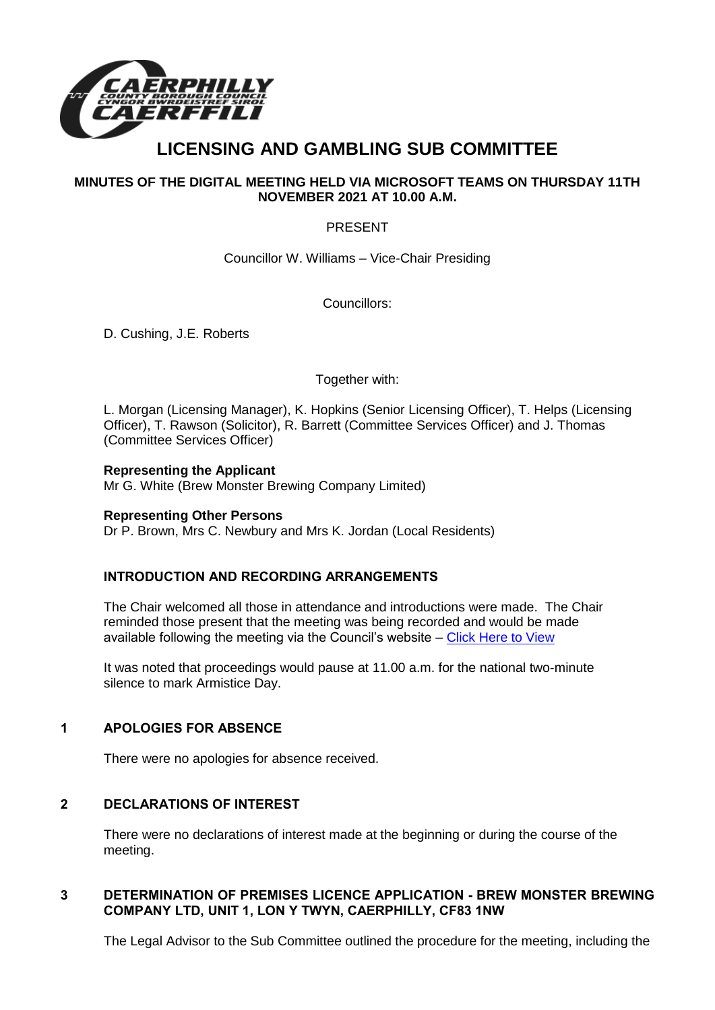

# **LICENSING AND GAMBLING SUB COMMITTEE**

### **MINUTES OF THE DIGITAL MEETING HELD VIA MICROSOFT TEAMS ON THURSDAY 11TH NOVEMBER 2021 AT 10.00 A.M.**

#### PRESENT

Councillor W. Williams – Vice-Chair Presiding

Councillors:

D. Cushing, J.E. Roberts

#### Together with:

L. Morgan (Licensing Manager), K. Hopkins (Senior Licensing Officer), T. Helps (Licensing Officer), T. Rawson (Solicitor), R. Barrett (Committee Services Officer) and J. Thomas (Committee Services Officer)

## **Representing the Applicant**

Mr G. White (Brew Monster Brewing Company Limited)

#### **Representing Other Persons**

Dr P. Brown, Mrs C. Newbury and Mrs K. Jordan (Local Residents)

### **INTRODUCTION AND RECORDING ARRANGEMENTS**

The Chair welcomed all those in attendance and introductions were made. The Chair reminded those present that the meeting was being recorded and would be made available following the meeting via the Council's website – [Click Here to View](https://www.caerphilly.gov.uk/My-Council/Meetings,-agendas,-minutes-and-reports/Council-meetings?lang=en-GB)

It was noted that proceedings would pause at 11.00 a.m. for the national two-minute silence to mark Armistice Day.

#### **1 APOLOGIES FOR ABSENCE**

There were no apologies for absence received.

#### **2 DECLARATIONS OF INTEREST**

There were no declarations of interest made at the beginning or during the course of the meeting.

#### **3 DETERMINATION OF PREMISES LICENCE APPLICATION - BREW MONSTER BREWING COMPANY LTD, UNIT 1, LON Y TWYN, CAERPHILLY, CF83 1NW**

The Legal Advisor to the Sub Committee outlined the procedure for the meeting, including the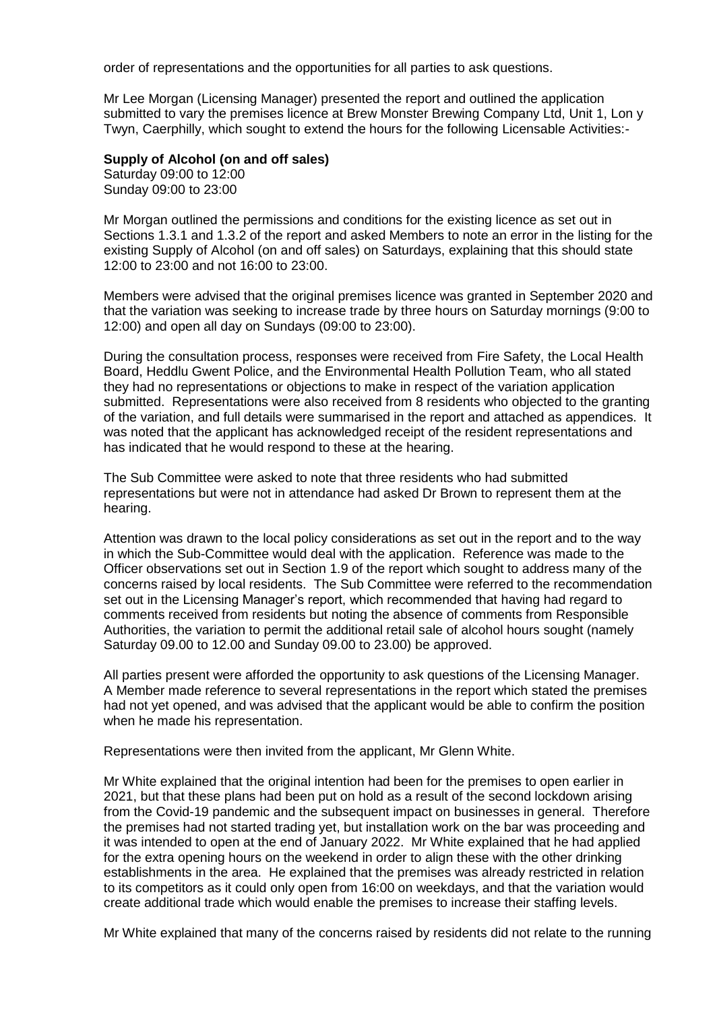order of representations and the opportunities for all parties to ask questions.

Mr Lee Morgan (Licensing Manager) presented the report and outlined the application submitted to vary the premises licence at Brew Monster Brewing Company Ltd, Unit 1, Lon y Twyn, Caerphilly, which sought to extend the hours for the following Licensable Activities:-

#### **Supply of Alcohol (on and off sales)**

Saturday 09:00 to 12:00 Sunday 09:00 to 23:00

Mr Morgan outlined the permissions and conditions for the existing licence as set out in Sections 1.3.1 and 1.3.2 of the report and asked Members to note an error in the listing for the existing Supply of Alcohol (on and off sales) on Saturdays, explaining that this should state 12:00 to 23:00 and not 16:00 to 23:00.

Members were advised that the original premises licence was granted in September 2020 and that the variation was seeking to increase trade by three hours on Saturday mornings (9:00 to 12:00) and open all day on Sundays (09:00 to 23:00).

During the consultation process, responses were received from Fire Safety, the Local Health Board, Heddlu Gwent Police, and the Environmental Health Pollution Team, who all stated they had no representations or objections to make in respect of the variation application submitted. Representations were also received from 8 residents who objected to the granting of the variation, and full details were summarised in the report and attached as appendices. It was noted that the applicant has acknowledged receipt of the resident representations and has indicated that he would respond to these at the hearing.

The Sub Committee were asked to note that three residents who had submitted representations but were not in attendance had asked Dr Brown to represent them at the hearing.

Attention was drawn to the local policy considerations as set out in the report and to the way in which the Sub-Committee would deal with the application. Reference was made to the Officer observations set out in Section 1.9 of the report which sought to address many of the concerns raised by local residents. The Sub Committee were referred to the recommendation set out in the Licensing Manager's report, which recommended that having had regard to comments received from residents but noting the absence of comments from Responsible Authorities, the variation to permit the additional retail sale of alcohol hours sought (namely Saturday 09.00 to 12.00 and Sunday 09.00 to 23.00) be approved.

All parties present were afforded the opportunity to ask questions of the Licensing Manager. A Member made reference to several representations in the report which stated the premises had not yet opened, and was advised that the applicant would be able to confirm the position when he made his representation.

Representations were then invited from the applicant, Mr Glenn White.

Mr White explained that the original intention had been for the premises to open earlier in 2021, but that these plans had been put on hold as a result of the second lockdown arising from the Covid-19 pandemic and the subsequent impact on businesses in general. Therefore the premises had not started trading yet, but installation work on the bar was proceeding and it was intended to open at the end of January 2022. Mr White explained that he had applied for the extra opening hours on the weekend in order to align these with the other drinking establishments in the area. He explained that the premises was already restricted in relation to its competitors as it could only open from 16:00 on weekdays, and that the variation would create additional trade which would enable the premises to increase their staffing levels.

Mr White explained that many of the concerns raised by residents did not relate to the running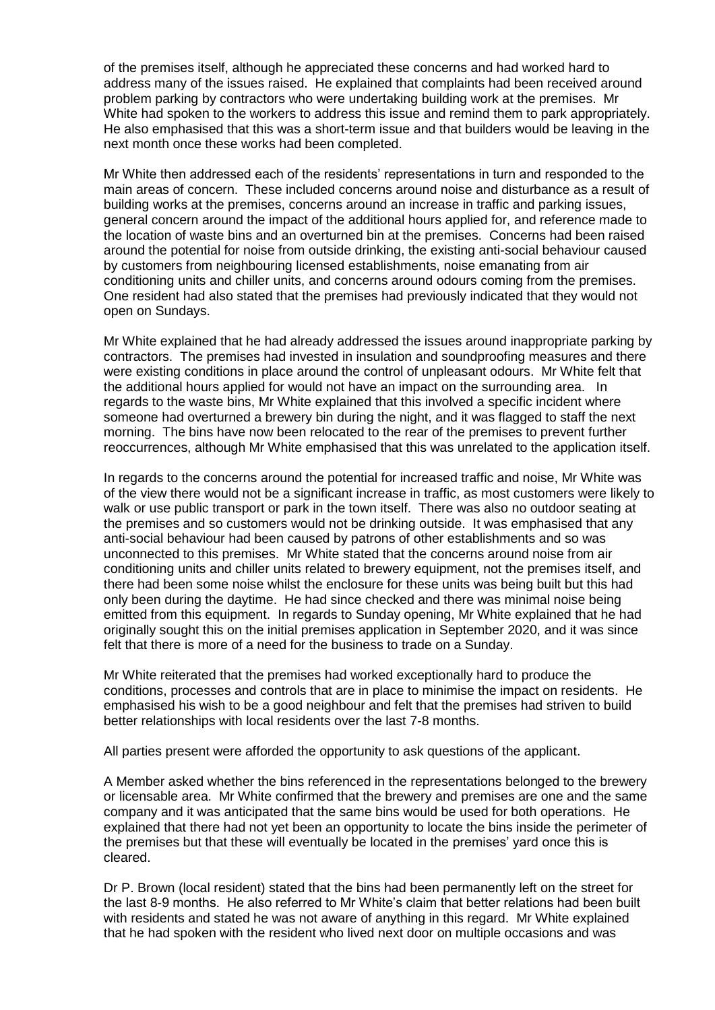of the premises itself, although he appreciated these concerns and had worked hard to address many of the issues raised. He explained that complaints had been received around problem parking by contractors who were undertaking building work at the premises. Mr White had spoken to the workers to address this issue and remind them to park appropriately. He also emphasised that this was a short-term issue and that builders would be leaving in the next month once these works had been completed.

Mr White then addressed each of the residents' representations in turn and responded to the main areas of concern. These included concerns around noise and disturbance as a result of building works at the premises, concerns around an increase in traffic and parking issues, general concern around the impact of the additional hours applied for, and reference made to the location of waste bins and an overturned bin at the premises. Concerns had been raised around the potential for noise from outside drinking, the existing anti-social behaviour caused by customers from neighbouring licensed establishments, noise emanating from air conditioning units and chiller units, and concerns around odours coming from the premises. One resident had also stated that the premises had previously indicated that they would not open on Sundays.

Mr White explained that he had already addressed the issues around inappropriate parking by contractors. The premises had invested in insulation and soundproofing measures and there were existing conditions in place around the control of unpleasant odours. Mr White felt that the additional hours applied for would not have an impact on the surrounding area. In regards to the waste bins, Mr White explained that this involved a specific incident where someone had overturned a brewery bin during the night, and it was flagged to staff the next morning. The bins have now been relocated to the rear of the premises to prevent further reoccurrences, although Mr White emphasised that this was unrelated to the application itself.

In regards to the concerns around the potential for increased traffic and noise, Mr White was of the view there would not be a significant increase in traffic, as most customers were likely to walk or use public transport or park in the town itself. There was also no outdoor seating at the premises and so customers would not be drinking outside. It was emphasised that any anti-social behaviour had been caused by patrons of other establishments and so was unconnected to this premises. Mr White stated that the concerns around noise from air conditioning units and chiller units related to brewery equipment, not the premises itself, and there had been some noise whilst the enclosure for these units was being built but this had only been during the daytime. He had since checked and there was minimal noise being emitted from this equipment. In regards to Sunday opening, Mr White explained that he had originally sought this on the initial premises application in September 2020, and it was since felt that there is more of a need for the business to trade on a Sunday.

Mr White reiterated that the premises had worked exceptionally hard to produce the conditions, processes and controls that are in place to minimise the impact on residents. He emphasised his wish to be a good neighbour and felt that the premises had striven to build better relationships with local residents over the last 7-8 months.

All parties present were afforded the opportunity to ask questions of the applicant.

A Member asked whether the bins referenced in the representations belonged to the brewery or licensable area. Mr White confirmed that the brewery and premises are one and the same company and it was anticipated that the same bins would be used for both operations. He explained that there had not yet been an opportunity to locate the bins inside the perimeter of the premises but that these will eventually be located in the premises' yard once this is cleared.

Dr P. Brown (local resident) stated that the bins had been permanently left on the street for the last 8-9 months. He also referred to Mr White's claim that better relations had been built with residents and stated he was not aware of anything in this regard. Mr White explained that he had spoken with the resident who lived next door on multiple occasions and was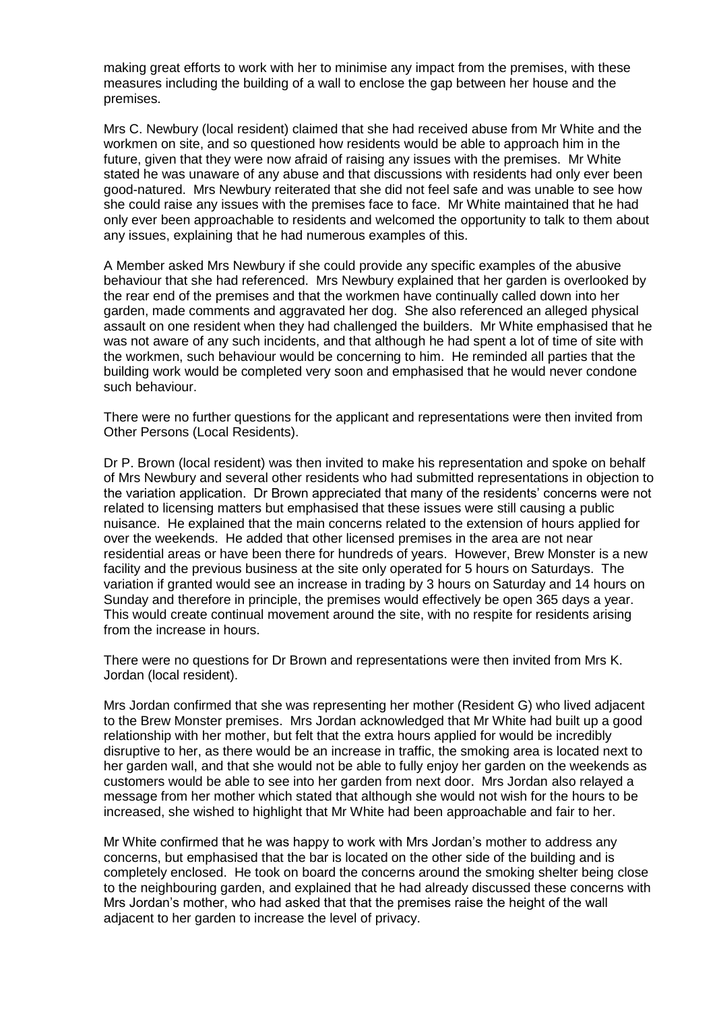making great efforts to work with her to minimise any impact from the premises, with these measures including the building of a wall to enclose the gap between her house and the premises.

Mrs C. Newbury (local resident) claimed that she had received abuse from Mr White and the workmen on site, and so questioned how residents would be able to approach him in the future, given that they were now afraid of raising any issues with the premises. Mr White stated he was unaware of any abuse and that discussions with residents had only ever been good-natured. Mrs Newbury reiterated that she did not feel safe and was unable to see how she could raise any issues with the premises face to face. Mr White maintained that he had only ever been approachable to residents and welcomed the opportunity to talk to them about any issues, explaining that he had numerous examples of this.

A Member asked Mrs Newbury if she could provide any specific examples of the abusive behaviour that she had referenced. Mrs Newbury explained that her garden is overlooked by the rear end of the premises and that the workmen have continually called down into her garden, made comments and aggravated her dog. She also referenced an alleged physical assault on one resident when they had challenged the builders. Mr White emphasised that he was not aware of any such incidents, and that although he had spent a lot of time of site with the workmen, such behaviour would be concerning to him. He reminded all parties that the building work would be completed very soon and emphasised that he would never condone such behaviour.

There were no further questions for the applicant and representations were then invited from Other Persons (Local Residents).

Dr P. Brown (local resident) was then invited to make his representation and spoke on behalf of Mrs Newbury and several other residents who had submitted representations in objection to the variation application. Dr Brown appreciated that many of the residents' concerns were not related to licensing matters but emphasised that these issues were still causing a public nuisance. He explained that the main concerns related to the extension of hours applied for over the weekends. He added that other licensed premises in the area are not near residential areas or have been there for hundreds of years. However, Brew Monster is a new facility and the previous business at the site only operated for 5 hours on Saturdays. The variation if granted would see an increase in trading by 3 hours on Saturday and 14 hours on Sunday and therefore in principle, the premises would effectively be open 365 days a year. This would create continual movement around the site, with no respite for residents arising from the increase in hours.

There were no questions for Dr Brown and representations were then invited from Mrs K. Jordan (local resident).

Mrs Jordan confirmed that she was representing her mother (Resident G) who lived adjacent to the Brew Monster premises. Mrs Jordan acknowledged that Mr White had built up a good relationship with her mother, but felt that the extra hours applied for would be incredibly disruptive to her, as there would be an increase in traffic, the smoking area is located next to her garden wall, and that she would not be able to fully enjoy her garden on the weekends as customers would be able to see into her garden from next door. Mrs Jordan also relayed a message from her mother which stated that although she would not wish for the hours to be increased, she wished to highlight that Mr White had been approachable and fair to her.

Mr White confirmed that he was happy to work with Mrs Jordan's mother to address any concerns, but emphasised that the bar is located on the other side of the building and is completely enclosed. He took on board the concerns around the smoking shelter being close to the neighbouring garden, and explained that he had already discussed these concerns with Mrs Jordan's mother, who had asked that that the premises raise the height of the wall adjacent to her garden to increase the level of privacy.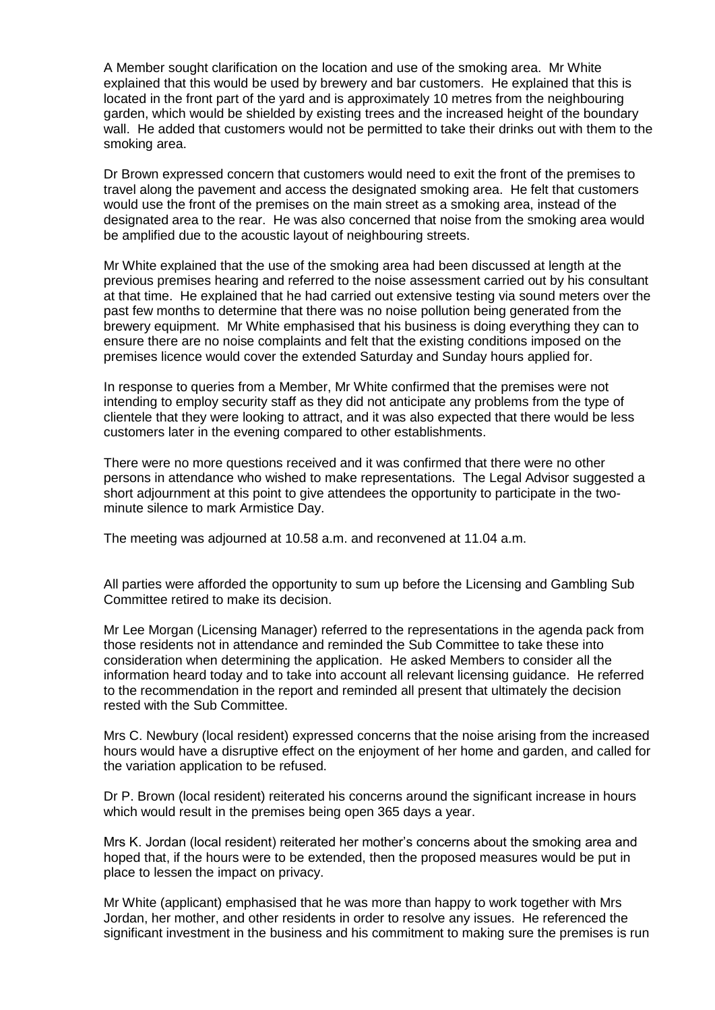A Member sought clarification on the location and use of the smoking area. Mr White explained that this would be used by brewery and bar customers. He explained that this is located in the front part of the yard and is approximately 10 metres from the neighbouring garden, which would be shielded by existing trees and the increased height of the boundary wall. He added that customers would not be permitted to take their drinks out with them to the smoking area.

Dr Brown expressed concern that customers would need to exit the front of the premises to travel along the pavement and access the designated smoking area. He felt that customers would use the front of the premises on the main street as a smoking area, instead of the designated area to the rear. He was also concerned that noise from the smoking area would be amplified due to the acoustic layout of neighbouring streets.

Mr White explained that the use of the smoking area had been discussed at length at the previous premises hearing and referred to the noise assessment carried out by his consultant at that time. He explained that he had carried out extensive testing via sound meters over the past few months to determine that there was no noise pollution being generated from the brewery equipment. Mr White emphasised that his business is doing everything they can to ensure there are no noise complaints and felt that the existing conditions imposed on the premises licence would cover the extended Saturday and Sunday hours applied for.

In response to queries from a Member, Mr White confirmed that the premises were not intending to employ security staff as they did not anticipate any problems from the type of clientele that they were looking to attract, and it was also expected that there would be less customers later in the evening compared to other establishments.

There were no more questions received and it was confirmed that there were no other persons in attendance who wished to make representations. The Legal Advisor suggested a short adjournment at this point to give attendees the opportunity to participate in the twominute silence to mark Armistice Day.

The meeting was adjourned at 10.58 a.m. and reconvened at 11.04 a.m.

All parties were afforded the opportunity to sum up before the Licensing and Gambling Sub Committee retired to make its decision.

Mr Lee Morgan (Licensing Manager) referred to the representations in the agenda pack from those residents not in attendance and reminded the Sub Committee to take these into consideration when determining the application. He asked Members to consider all the information heard today and to take into account all relevant licensing guidance. He referred to the recommendation in the report and reminded all present that ultimately the decision rested with the Sub Committee.

Mrs C. Newbury (local resident) expressed concerns that the noise arising from the increased hours would have a disruptive effect on the enjoyment of her home and garden, and called for the variation application to be refused.

Dr P. Brown (local resident) reiterated his concerns around the significant increase in hours which would result in the premises being open 365 days a year.

Mrs K. Jordan (local resident) reiterated her mother's concerns about the smoking area and hoped that, if the hours were to be extended, then the proposed measures would be put in place to lessen the impact on privacy.

Mr White (applicant) emphasised that he was more than happy to work together with Mrs Jordan, her mother, and other residents in order to resolve any issues. He referenced the significant investment in the business and his commitment to making sure the premises is run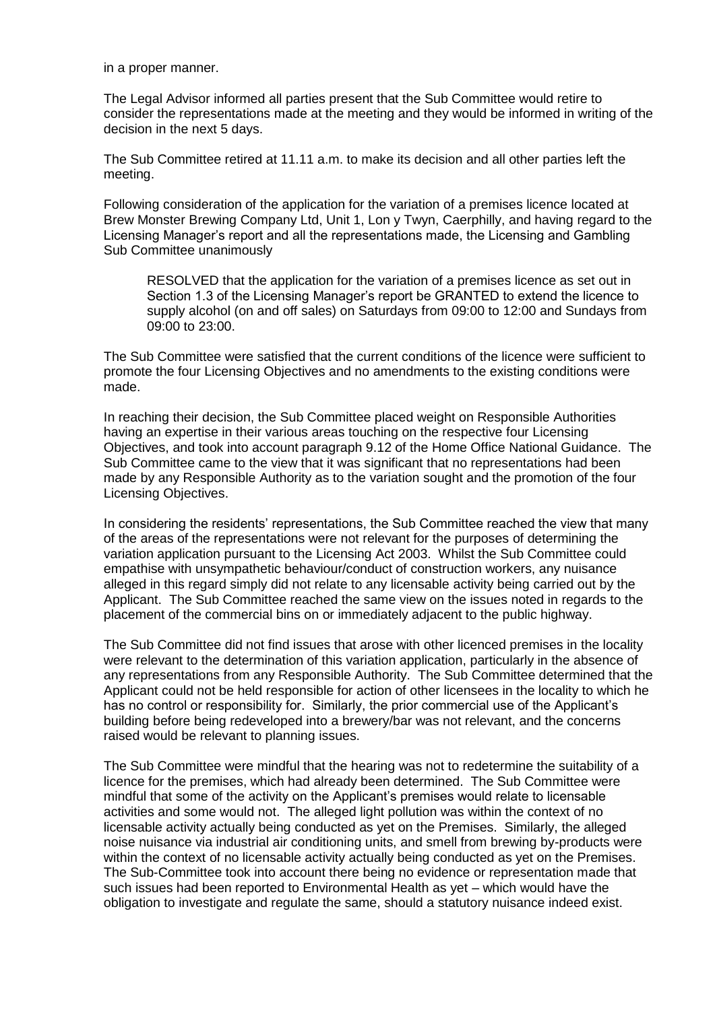in a proper manner.

The Legal Advisor informed all parties present that the Sub Committee would retire to consider the representations made at the meeting and they would be informed in writing of the decision in the next 5 days.

The Sub Committee retired at 11.11 a.m. to make its decision and all other parties left the meeting.

Following consideration of the application for the variation of a premises licence located at Brew Monster Brewing Company Ltd, Unit 1, Lon y Twyn, Caerphilly, and having regard to the Licensing Manager's report and all the representations made, the Licensing and Gambling Sub Committee unanimously

RESOLVED that the application for the variation of a premises licence as set out in Section 1.3 of the Licensing Manager's report be GRANTED to extend the licence to supply alcohol (on and off sales) on Saturdays from 09:00 to 12:00 and Sundays from 09:00 to 23:00.

The Sub Committee were satisfied that the current conditions of the licence were sufficient to promote the four Licensing Objectives and no amendments to the existing conditions were made.

In reaching their decision, the Sub Committee placed weight on Responsible Authorities having an expertise in their various areas touching on the respective four Licensing Objectives, and took into account paragraph 9.12 of the Home Office National Guidance. The Sub Committee came to the view that it was significant that no representations had been made by any Responsible Authority as to the variation sought and the promotion of the four Licensing Objectives.

In considering the residents' representations, the Sub Committee reached the view that many of the areas of the representations were not relevant for the purposes of determining the variation application pursuant to the Licensing Act 2003. Whilst the Sub Committee could empathise with unsympathetic behaviour/conduct of construction workers, any nuisance alleged in this regard simply did not relate to any licensable activity being carried out by the Applicant. The Sub Committee reached the same view on the issues noted in regards to the placement of the commercial bins on or immediately adjacent to the public highway.

The Sub Committee did not find issues that arose with other licenced premises in the locality were relevant to the determination of this variation application, particularly in the absence of any representations from any Responsible Authority. The Sub Committee determined that the Applicant could not be held responsible for action of other licensees in the locality to which he has no control or responsibility for. Similarly, the prior commercial use of the Applicant's building before being redeveloped into a brewery/bar was not relevant, and the concerns raised would be relevant to planning issues.

The Sub Committee were mindful that the hearing was not to redetermine the suitability of a licence for the premises, which had already been determined. The Sub Committee were mindful that some of the activity on the Applicant's premises would relate to licensable activities and some would not. The alleged light pollution was within the context of no licensable activity actually being conducted as yet on the Premises. Similarly, the alleged noise nuisance via industrial air conditioning units, and smell from brewing by-products were within the context of no licensable activity actually being conducted as yet on the Premises. The Sub-Committee took into account there being no evidence or representation made that such issues had been reported to Environmental Health as yet – which would have the obligation to investigate and regulate the same, should a statutory nuisance indeed exist.